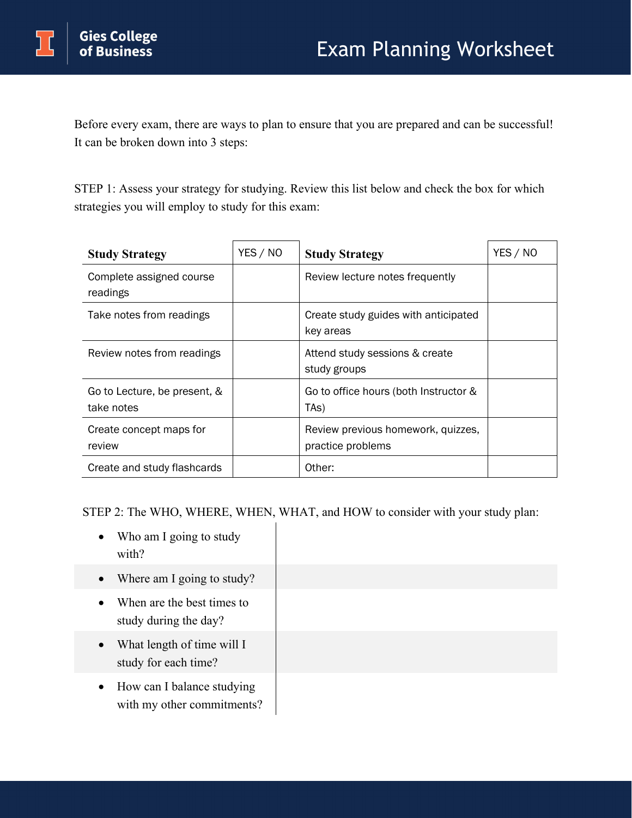Before every exam, there are ways to plan to ensure that you are prepared and can be successful! It can be broken down into 3 steps:

STEP 1: Assess your strategy for studying. Review this list below and check the box for which strategies you will employ to study for this exam:

| <b>Study Strategy</b>                      | YES / NO | <b>Study Strategy</b>                                      | YES / NO |
|--------------------------------------------|----------|------------------------------------------------------------|----------|
| Complete assigned course<br>readings       |          | Review lecture notes frequently                            |          |
| Take notes from readings                   |          | Create study guides with anticipated<br>key areas          |          |
| Review notes from readings                 |          | Attend study sessions & create<br>study groups             |          |
| Go to Lecture, be present, &<br>take notes |          | Go to office hours (both Instructor &<br>TA <sub>S</sub> ) |          |
| Create concept maps for<br>review          |          | Review previous homework, quizzes,<br>practice problems    |          |
| Create and study flashcards                |          | Other:                                                     |          |

STEP 2: The WHO, WHERE, WHEN, WHAT, and HOW to consider with your study plan:

- Who am I going to study with?
- Where am I going to study?
- When are the best times to study during the day?
- What length of time will I study for each time?
- How can I balance studying with my other commitments?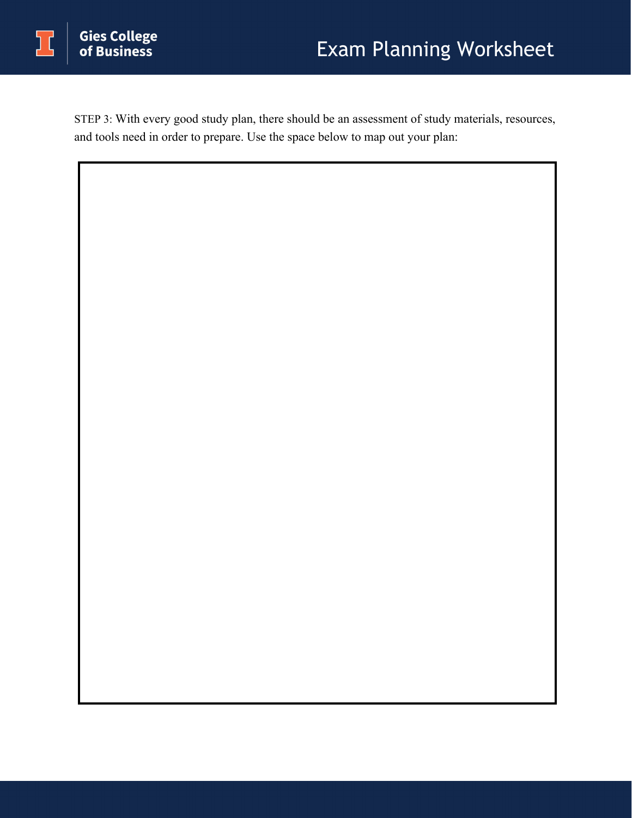STEP 3: With every good study plan, there should be an assessment of study materials, resources, and tools need in order to prepare. Use the space below to map out your plan: